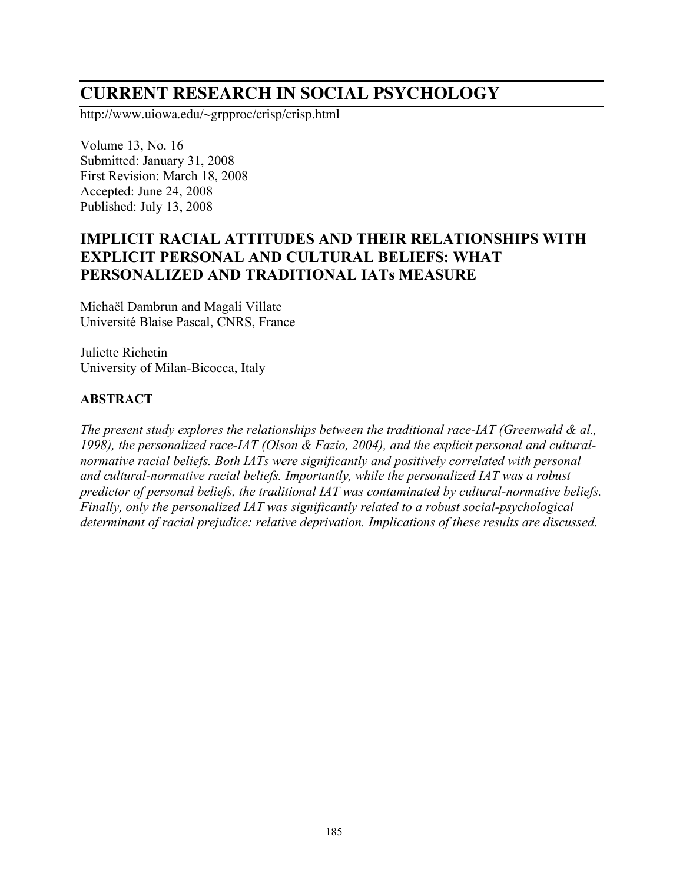# **CURRENT RESEARCH IN SOCIAL PSYCHOLOGY**

http://www.uiowa.edu/~grpproc/crisp/crisp.html

Volume 13, No. 16 Submitted: January 31, 2008 First Revision: March 18, 2008 Accepted: June 24, 2008 Published: July 13, 2008

# **IMPLICIT RACIAL ATTITUDES AND THEIR RELATIONSHIPS WITH EXPLICIT PERSONAL AND CULTURAL BELIEFS: WHAT PERSONALIZED AND TRADITIONAL IATs MEASURE**

Michaël Dambrun and Magali Villate Université Blaise Pascal, CNRS, France

Juliette Richetin University of Milan-Bicocca, Italy

#### **ABSTRACT**

*The present study explores the relationships between the traditional race-IAT (Greenwald & al., 1998), the personalized race-IAT (Olson & Fazio, 2004), and the explicit personal and culturalnormative racial beliefs. Both IATs were significantly and positively correlated with personal and cultural-normative racial beliefs. Importantly, while the personalized IAT was a robust predictor of personal beliefs, the traditional IAT was contaminated by cultural-normative beliefs. Finally, only the personalized IAT was significantly related to a robust social-psychological determinant of racial prejudice: relative deprivation. Implications of these results are discussed.*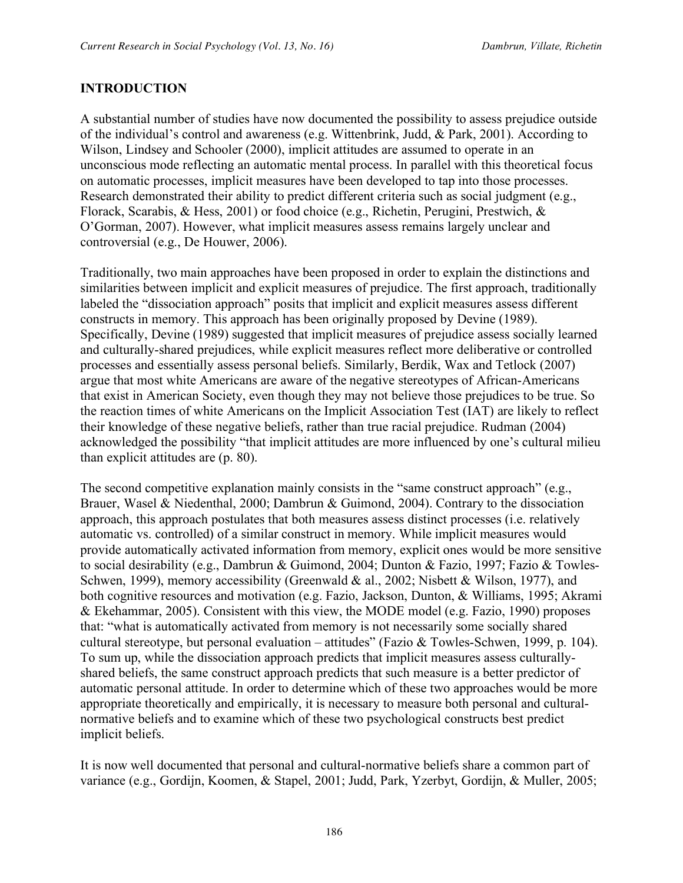#### **INTRODUCTION**

A substantial number of studies have now documented the possibility to assess prejudice outside of the individual's control and awareness (e.g. Wittenbrink, Judd, & Park, 2001). According to Wilson, Lindsey and Schooler (2000), implicit attitudes are assumed to operate in an unconscious mode reflecting an automatic mental process. In parallel with this theoretical focus on automatic processes, implicit measures have been developed to tap into those processes. Research demonstrated their ability to predict different criteria such as social judgment (e.g., Florack, Scarabis, & Hess, 2001) or food choice (e.g., Richetin, Perugini, Prestwich, & O'Gorman, 2007). However, what implicit measures assess remains largely unclear and controversial (e.g., De Houwer, 2006).

Traditionally, two main approaches have been proposed in order to explain the distinctions and similarities between implicit and explicit measures of prejudice. The first approach, traditionally labeled the "dissociation approach" posits that implicit and explicit measures assess different constructs in memory. This approach has been originally proposed by Devine (1989). Specifically, Devine (1989) suggested that implicit measures of prejudice assess socially learned and culturally-shared prejudices, while explicit measures reflect more deliberative or controlled processes and essentially assess personal beliefs. Similarly, Berdik, Wax and Tetlock (2007) argue that most white Americans are aware of the negative stereotypes of African-Americans that exist in American Society, even though they may not believe those prejudices to be true. So the reaction times of white Americans on the Implicit Association Test (IAT) are likely to reflect their knowledge of these negative beliefs, rather than true racial prejudice. Rudman (2004) acknowledged the possibility "that implicit attitudes are more influenced by one's cultural milieu than explicit attitudes are (p. 80).

The second competitive explanation mainly consists in the "same construct approach" (e.g., Brauer, Wasel & Niedenthal, 2000; Dambrun & Guimond, 2004). Contrary to the dissociation approach, this approach postulates that both measures assess distinct processes (i.e. relatively automatic vs. controlled) of a similar construct in memory. While implicit measures would provide automatically activated information from memory, explicit ones would be more sensitive to social desirability (e.g., Dambrun & Guimond, 2004; Dunton & Fazio, 1997; Fazio & Towles-Schwen, 1999), memory accessibility (Greenwald & al., 2002; Nisbett & Wilson, 1977), and both cognitive resources and motivation (e.g. Fazio, Jackson, Dunton, & Williams, 1995; Akrami & Ekehammar, 2005). Consistent with this view, the MODE model (e.g. Fazio, 1990) proposes that: "what is automatically activated from memory is not necessarily some socially shared cultural stereotype, but personal evaluation – attitudes" (Fazio & Towles-Schwen, 1999, p. 104). To sum up, while the dissociation approach predicts that implicit measures assess culturallyshared beliefs, the same construct approach predicts that such measure is a better predictor of automatic personal attitude. In order to determine which of these two approaches would be more appropriate theoretically and empirically, it is necessary to measure both personal and culturalnormative beliefs and to examine which of these two psychological constructs best predict implicit beliefs.

It is now well documented that personal and cultural-normative beliefs share a common part of variance (e.g., Gordijn, Koomen, & Stapel, 2001; Judd, Park, Yzerbyt, Gordijn, & Muller, 2005;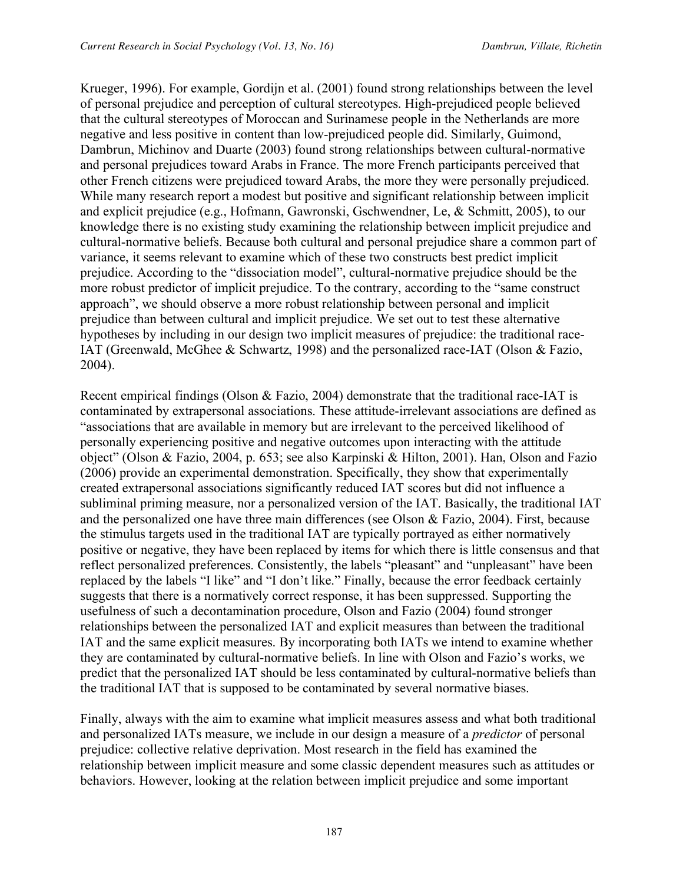Krueger, 1996). For example, Gordijn et al. (2001) found strong relationships between the level of personal prejudice and perception of cultural stereotypes. High-prejudiced people believed that the cultural stereotypes of Moroccan and Surinamese people in the Netherlands are more negative and less positive in content than low-prejudiced people did. Similarly, Guimond, Dambrun, Michinov and Duarte (2003) found strong relationships between cultural-normative and personal prejudices toward Arabs in France. The more French participants perceived that other French citizens were prejudiced toward Arabs, the more they were personally prejudiced. While many research report a modest but positive and significant relationship between implicit and explicit prejudice (e.g., Hofmann, Gawronski, Gschwendner, Le, & Schmitt, 2005), to our knowledge there is no existing study examining the relationship between implicit prejudice and cultural-normative beliefs. Because both cultural and personal prejudice share a common part of variance, it seems relevant to examine which of these two constructs best predict implicit prejudice. According to the "dissociation model", cultural-normative prejudice should be the more robust predictor of implicit prejudice. To the contrary, according to the "same construct approach", we should observe a more robust relationship between personal and implicit prejudice than between cultural and implicit prejudice. We set out to test these alternative hypotheses by including in our design two implicit measures of prejudice: the traditional race-IAT (Greenwald, McGhee & Schwartz, 1998) and the personalized race-IAT (Olson & Fazio, 2004).

Recent empirical findings (Olson & Fazio, 2004) demonstrate that the traditional race-IAT is contaminated by extrapersonal associations. These attitude-irrelevant associations are defined as "associations that are available in memory but are irrelevant to the perceived likelihood of personally experiencing positive and negative outcomes upon interacting with the attitude object" (Olson & Fazio, 2004, p. 653; see also Karpinski & Hilton, 2001). Han, Olson and Fazio (2006) provide an experimental demonstration. Specifically, they show that experimentally created extrapersonal associations significantly reduced IAT scores but did not influence a subliminal priming measure, nor a personalized version of the IAT. Basically, the traditional IAT and the personalized one have three main differences (see Olson & Fazio, 2004). First, because the stimulus targets used in the traditional IAT are typically portrayed as either normatively positive or negative, they have been replaced by items for which there is little consensus and that reflect personalized preferences. Consistently, the labels "pleasant" and "unpleasant" have been replaced by the labels "I like" and "I don't like." Finally, because the error feedback certainly suggests that there is a normatively correct response, it has been suppressed. Supporting the usefulness of such a decontamination procedure, Olson and Fazio (2004) found stronger relationships between the personalized IAT and explicit measures than between the traditional IAT and the same explicit measures. By incorporating both IATs we intend to examine whether they are contaminated by cultural-normative beliefs. In line with Olson and Fazio's works, we predict that the personalized IAT should be less contaminated by cultural-normative beliefs than the traditional IAT that is supposed to be contaminated by several normative biases.

Finally, always with the aim to examine what implicit measures assess and what both traditional and personalized IATs measure, we include in our design a measure of a *predictor* of personal prejudice: collective relative deprivation. Most research in the field has examined the relationship between implicit measure and some classic dependent measures such as attitudes or behaviors. However, looking at the relation between implicit prejudice and some important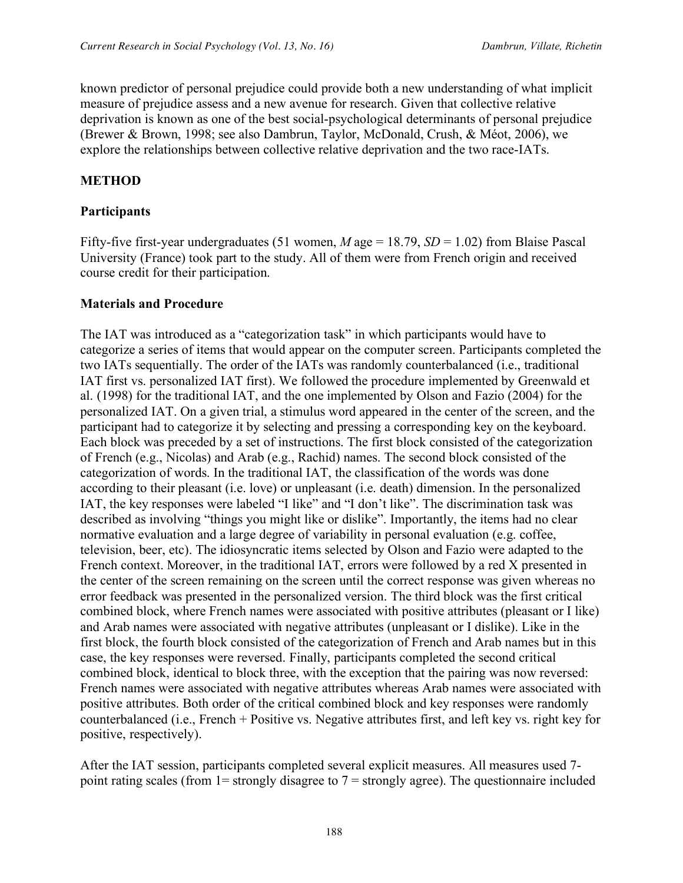known predictor of personal prejudice could provide both a new understanding of what implicit measure of prejudice assess and a new avenue for research. Given that collective relative deprivation is known as one of the best social-psychological determinants of personal prejudice (Brewer & Brown, 1998; see also Dambrun, Taylor, McDonald, Crush, & Méot, 2006), we explore the relationships between collective relative deprivation and the two race-IATs.

#### **METHOD**

#### **Participants**

Fifty-five first-year undergraduates (51 women, *M* age = 18.79, *SD* = 1.02) from Blaise Pascal University (France) took part to the study. All of them were from French origin and received course credit for their participation.

#### **Materials and Procedure**

The IAT was introduced as a "categorization task" in which participants would have to categorize a series of items that would appear on the computer screen. Participants completed the two IATs sequentially. The order of the IATs was randomly counterbalanced (i.e., traditional IAT first vs. personalized IAT first). We followed the procedure implemented by Greenwald et al. (1998) for the traditional IAT, and the one implemented by Olson and Fazio (2004) for the personalized IAT. On a given trial, a stimulus word appeared in the center of the screen, and the participant had to categorize it by selecting and pressing a corresponding key on the keyboard. Each block was preceded by a set of instructions. The first block consisted of the categorization of French (e.g., Nicolas) and Arab (e.g., Rachid) names. The second block consisted of the categorization of words. In the traditional IAT, the classification of the words was done according to their pleasant (i.e. love) or unpleasant (i.e. death) dimension. In the personalized IAT, the key responses were labeled "I like" and "I don't like". The discrimination task was described as involving "things you might like or dislike". Importantly, the items had no clear normative evaluation and a large degree of variability in personal evaluation (e.g. coffee, television, beer, etc). The idiosyncratic items selected by Olson and Fazio were adapted to the French context. Moreover, in the traditional IAT, errors were followed by a red X presented in the center of the screen remaining on the screen until the correct response was given whereas no error feedback was presented in the personalized version. The third block was the first critical combined block, where French names were associated with positive attributes (pleasant or I like) and Arab names were associated with negative attributes (unpleasant or I dislike). Like in the first block, the fourth block consisted of the categorization of French and Arab names but in this case, the key responses were reversed. Finally, participants completed the second critical combined block, identical to block three, with the exception that the pairing was now reversed: French names were associated with negative attributes whereas Arab names were associated with positive attributes. Both order of the critical combined block and key responses were randomly counterbalanced (i.e., French + Positive vs. Negative attributes first, and left key vs. right key for positive, respectively).

After the IAT session, participants completed several explicit measures. All measures used 7 point rating scales (from  $1 =$  strongly disagree to  $7 =$  strongly agree). The questionnaire included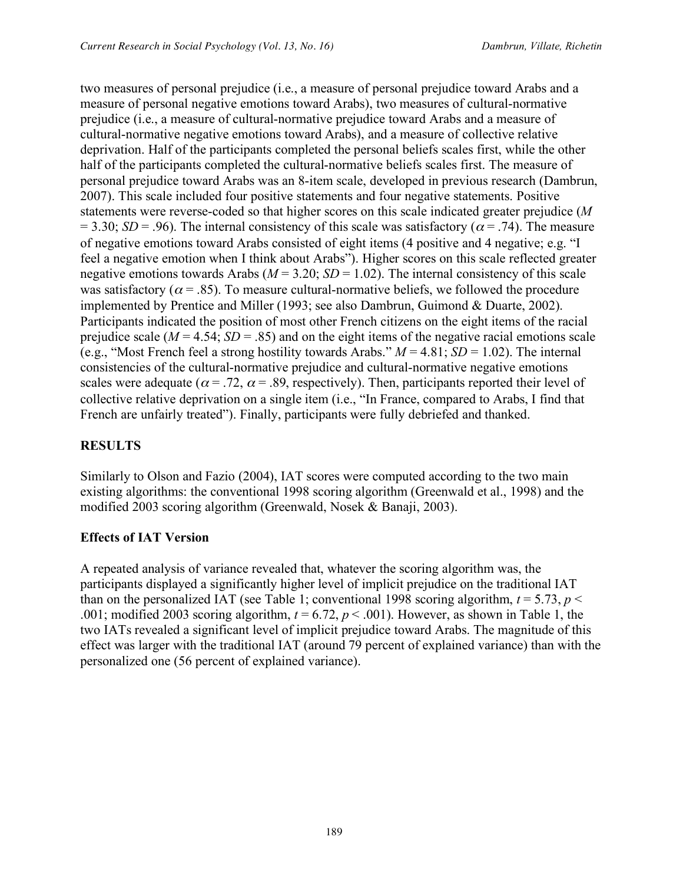two measures of personal prejudice (i.e., a measure of personal prejudice toward Arabs and a measure of personal negative emotions toward Arabs), two measures of cultural-normative prejudice (i.e., a measure of cultural-normative prejudice toward Arabs and a measure of cultural-normative negative emotions toward Arabs), and a measure of collective relative deprivation. Half of the participants completed the personal beliefs scales first, while the other half of the participants completed the cultural-normative beliefs scales first. The measure of personal prejudice toward Arabs was an 8-item scale, developed in previous research (Dambrun, 2007). This scale included four positive statements and four negative statements. Positive statements were reverse-coded so that higher scores on this scale indicated greater prejudice (*M* = 3.30; *SD* = .96). The internal consistency of this scale was satisfactory ( $\alpha$  = .74). The measure of negative emotions toward Arabs consisted of eight items (4 positive and 4 negative; e.g. "I feel a negative emotion when I think about Arabs"). Higher scores on this scale reflected greater negative emotions towards Arabs ( $M = 3.20$ ;  $SD = 1.02$ ). The internal consistency of this scale was satisfactory ( $\alpha$  = .85). To measure cultural-normative beliefs, we followed the procedure implemented by Prentice and Miller (1993; see also Dambrun, Guimond & Duarte, 2002). Participants indicated the position of most other French citizens on the eight items of the racial prejudice scale ( $M = 4.54$ ;  $SD = .85$ ) and on the eight items of the negative racial emotions scale (e.g., "Most French feel a strong hostility towards Arabs."  $M = 4.81$ ;  $SD = 1.02$ ). The internal consistencies of the cultural-normative prejudice and cultural-normative negative emotions scales were adequate ( $\alpha = .72$ ,  $\alpha = .89$ , respectively). Then, participants reported their level of collective relative deprivation on a single item (i.e., "In France, compared to Arabs, I find that French are unfairly treated"). Finally, participants were fully debriefed and thanked.

# **RESULTS**

Similarly to Olson and Fazio (2004), IAT scores were computed according to the two main existing algorithms: the conventional 1998 scoring algorithm (Greenwald et al., 1998) and the modified 2003 scoring algorithm (Greenwald, Nosek & Banaji, 2003).

#### **Effects of IAT Version**

A repeated analysis of variance revealed that, whatever the scoring algorithm was, the participants displayed a significantly higher level of implicit prejudice on the traditional IAT than on the personalized IAT (see Table 1; conventional 1998 scoring algorithm,  $t = 5.73$ ,  $p <$ .001; modified 2003 scoring algorithm,  $t = 6.72$ ,  $p < .001$ ). However, as shown in Table 1, the two IATs revealed a significant level of implicit prejudice toward Arabs. The magnitude of this effect was larger with the traditional IAT (around 79 percent of explained variance) than with the personalized one (56 percent of explained variance).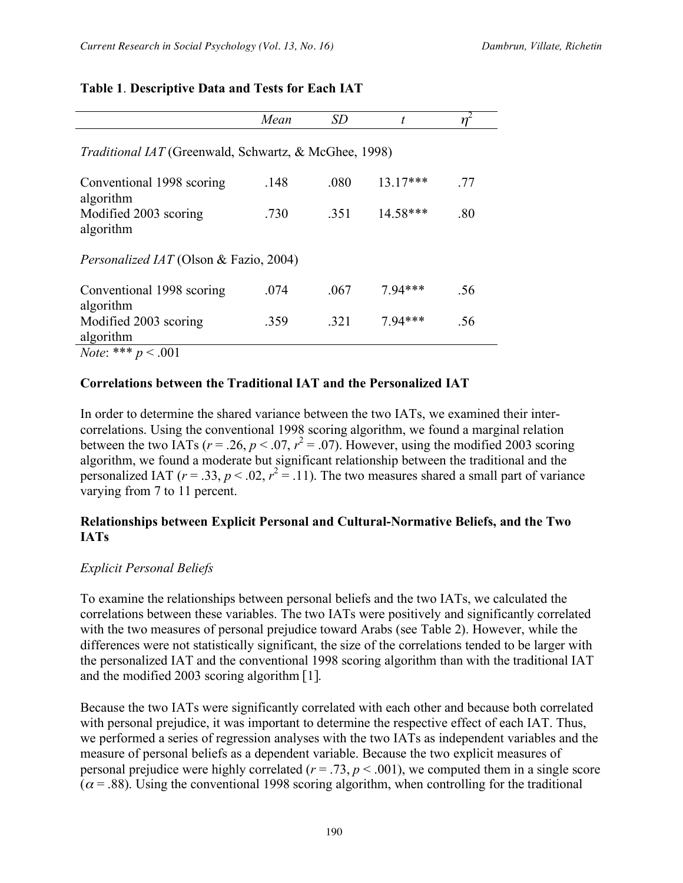#### **Table 1**. **Descriptive Data and Tests for Each IAT**

|                                                              | Mean | SD   | t          | $\eta^{\scriptscriptstyle\angle}$ |
|--------------------------------------------------------------|------|------|------------|-----------------------------------|
| <i>Traditional IAT</i> (Greenwald, Schwartz, & McGhee, 1998) |      |      |            |                                   |
| Conventional 1998 scoring<br>algorithm                       | .148 | .080 | $13.17***$ | .77                               |
| Modified 2003 scoring<br>algorithm                           | .730 | .351 | 14.58***   | .80                               |
| <i>Personalized IAT</i> (Olson & Fazio, 2004)                |      |      |            |                                   |
| Conventional 1998 scoring<br>algorithm                       | .074 | .067 | $7.94***$  | .56                               |
| Modified 2003 scoring<br>algorithm                           | .359 | .321 | 7.94***    | .56                               |
| <i>Note</i> : *** $p < .001$                                 |      |      |            |                                   |

#### **Correlations between the Traditional IAT and the Personalized IAT**

In order to determine the shared variance between the two IATs, we examined their intercorrelations. Using the conventional 1998 scoring algorithm, we found a marginal relation between the two IATs ( $r = 0.26$ ,  $p < 0.07$ ,  $r^2 = 0.07$ ). However, using the modified 2003 scoring algorithm, we found a moderate but significant relationship between the traditional and the personalized IAT ( $r = .33$ ,  $p < .02$ ,  $r^2 = .11$ ). The two measures shared a small part of variance varying from 7 to 11 percent.

#### **Relationships between Explicit Personal and Cultural-Normative Beliefs, and the Two IATs**

#### *Explicit Personal Beliefs*

To examine the relationships between personal beliefs and the two IATs, we calculated the correlations between these variables. The two IATs were positively and significantly correlated with the two measures of personal prejudice toward Arabs (see Table 2). However, while the differences were not statistically significant, the size of the correlations tended to be larger with the personalized IAT and the conventional 1998 scoring algorithm than with the traditional IAT and the modified 2003 scoring algorithm [1].

Because the two IATs were significantly correlated with each other and because both correlated with personal prejudice, it was important to determine the respective effect of each IAT. Thus, we performed a series of regression analyses with the two IATs as independent variables and the measure of personal beliefs as a dependent variable. Because the two explicit measures of personal prejudice were highly correlated ( $r = .73$ ,  $p < .001$ ), we computed them in a single score  $(\alpha = .88)$ . Using the conventional 1998 scoring algorithm, when controlling for the traditional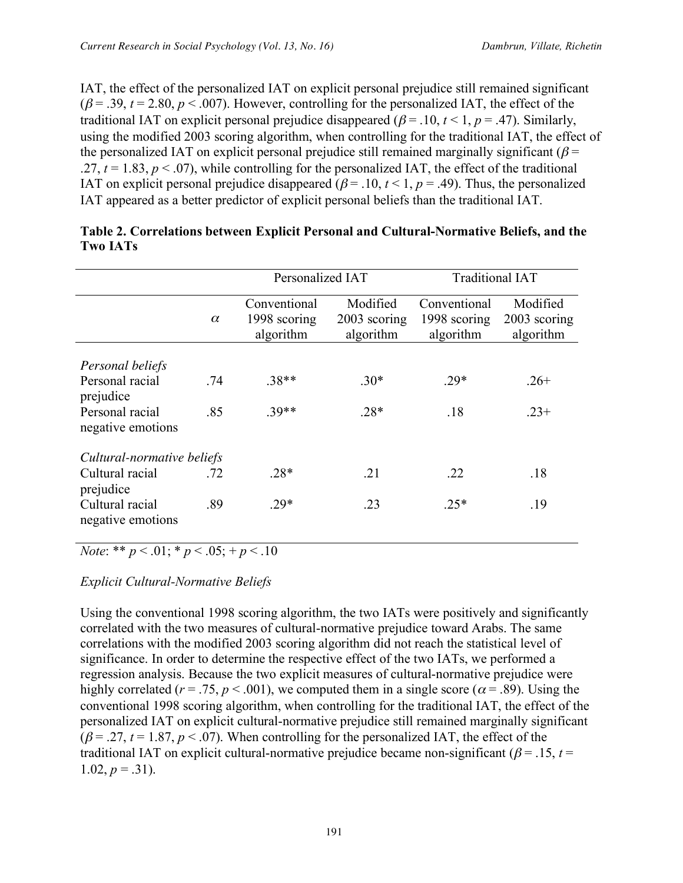IAT, the effect of the personalized IAT on explicit personal prejudice still remained significant  $(\beta = .39, t = 2.80, p < .007)$ . However, controlling for the personalized IAT, the effect of the traditional IAT on explicit personal prejudice disappeared ( $\beta$  = .10,  $t$  < 1,  $p$  = .47). Similarly, using the modified 2003 scoring algorithm, when controlling for the traditional IAT, the effect of the personalized IAT on explicit personal prejudice still remained marginally significant ( $\beta$  = .27,  $t = 1.83$ ,  $p < .07$ ), while controlling for the personalized IAT, the effect of the traditional IAT on explicit personal prejudice disappeared ( $\beta$  = .10,  $t$  < 1,  $p$  = .49). Thus, the personalized IAT appeared as a better predictor of explicit personal beliefs than the traditional IAT.

|                                      |          | Personalized IAT                          |                                       | <b>Traditional IAT</b>                    |                                       |
|--------------------------------------|----------|-------------------------------------------|---------------------------------------|-------------------------------------------|---------------------------------------|
|                                      | $\alpha$ | Conventional<br>1998 scoring<br>algorithm | Modified<br>2003 scoring<br>algorithm | Conventional<br>1998 scoring<br>algorithm | Modified<br>2003 scoring<br>algorithm |
| Personal beliefs                     |          |                                           |                                       |                                           |                                       |
| Personal racial<br>prejudice         | .74      | $.38**$                                   | $.30*$                                | $.29*$                                    | $.26+$                                |
| Personal racial<br>negative emotions | .85      | $39**$                                    | $.28*$                                | .18                                       | $.23+$                                |
| Cultural-normative beliefs           |          |                                           |                                       |                                           |                                       |
| Cultural racial<br>prejudice         | .72      | $.28*$                                    | .21                                   | .22                                       | .18                                   |
| Cultural racial<br>negative emotions | .89      | $.29*$                                    | .23                                   | $.25*$                                    | .19                                   |

| Table 2. Correlations between Explicit Personal and Cultural-Normative Beliefs, and the |  |
|-----------------------------------------------------------------------------------------|--|
| <b>Two IATs</b>                                                                         |  |

*Note*: \*\* *p* < .01; \* *p* < .05; + *p* < .10

*Explicit Cultural-Normative Beliefs*

Using the conventional 1998 scoring algorithm, the two IATs were positively and significantly correlated with the two measures of cultural-normative prejudice toward Arabs. The same correlations with the modified 2003 scoring algorithm did not reach the statistical level of significance. In order to determine the respective effect of the two IATs, we performed a regression analysis. Because the two explicit measures of cultural-normative prejudice were highly correlated ( $r = .75$ ,  $p < .001$ ), we computed them in a single score ( $\alpha = .89$ ). Using the conventional 1998 scoring algorithm, when controlling for the traditional IAT, the effect of the personalized IAT on explicit cultural-normative prejudice still remained marginally significant  $(\beta = .27, t = 1.87, p < .07)$ . When controlling for the personalized IAT, the effect of the traditional IAT on explicit cultural-normative prejudice became non-significant ( $\beta$  = .15, *t* = 1.02,  $p = .31$ ).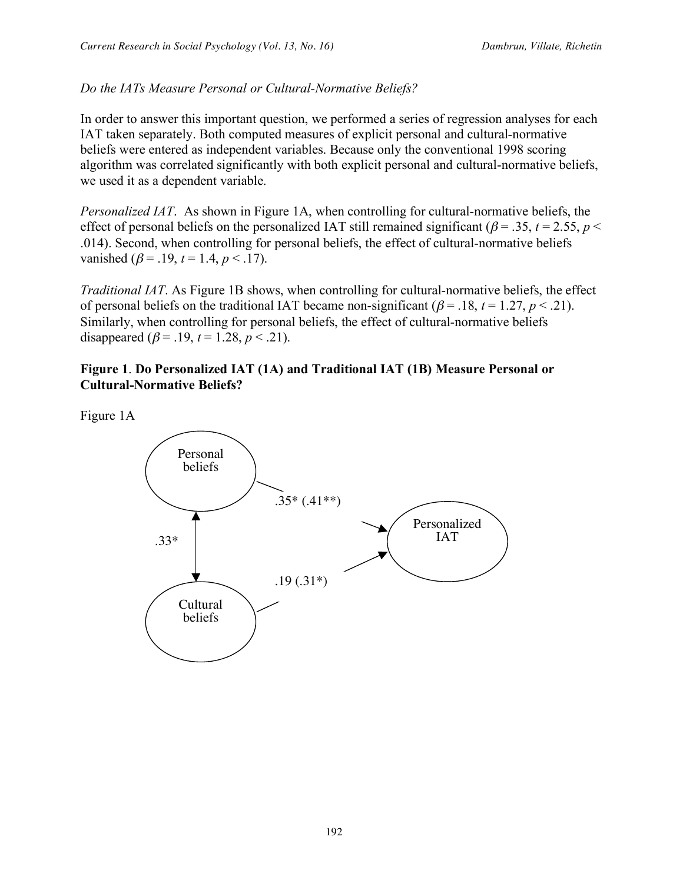## *Do the IATs Measure Personal or Cultural-Normative Beliefs?*

In order to answer this important question, we performed a series of regression analyses for each IAT taken separately. Both computed measures of explicit personal and cultural-normative beliefs were entered as independent variables. Because only the conventional 1998 scoring algorithm was correlated significantly with both explicit personal and cultural-normative beliefs, we used it as a dependent variable.

*Personalized IAT*. As shown in Figure 1A, when controlling for cultural-normative beliefs, the effect of personal beliefs on the personalized IAT still remained significant ( $\beta$  = .35, *t* = 2.55, *p* < .014). Second, when controlling for personal beliefs, the effect of cultural-normative beliefs vanished ( $\beta$  = .19,  $t$  = 1.4,  $p$  < .17).

*Traditional IAT*. As Figure 1B shows, when controlling for cultural-normative beliefs, the effect of personal beliefs on the traditional IAT became non-significant ( $\beta$  = .18,  $t$  = 1.27,  $p$  < .21). Similarly, when controlling for personal beliefs, the effect of cultural-normative beliefs disappeared ( $\beta$  = .19,  $t$  = 1.28,  $p$  < .21).

#### **Figure 1**. **Do Personalized IAT (1A) and Traditional IAT (1B) Measure Personal or Cultural-Normative Beliefs?**

Figure 1A

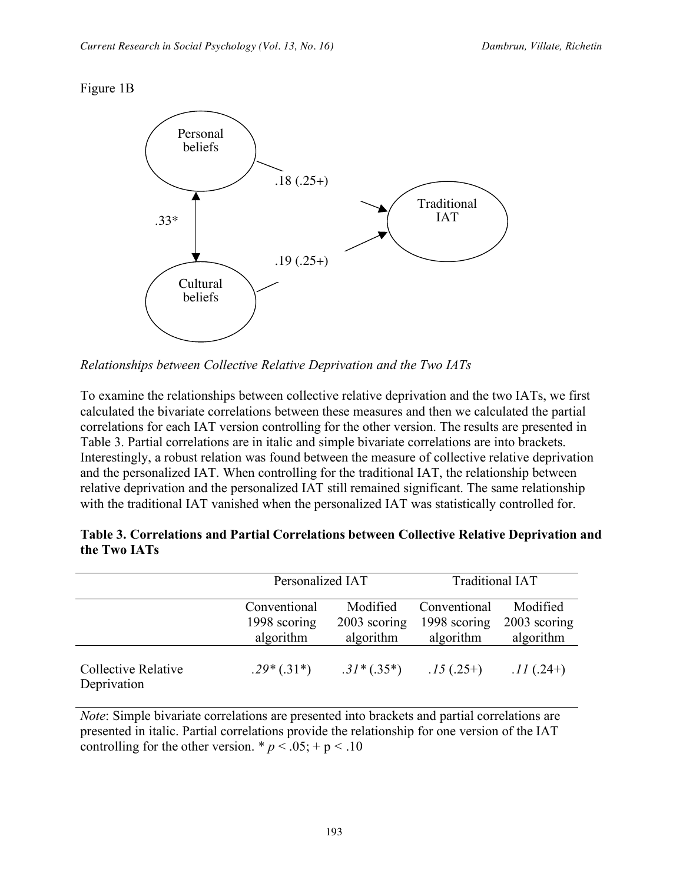#### Figure 1B



*Relationships between Collective Relative Deprivation and the Two IATs*

To examine the relationships between collective relative deprivation and the two IATs, we first calculated the bivariate correlations between these measures and then we calculated the partial correlations for each IAT version controlling for the other version. The results are presented in Table 3. Partial correlations are in italic and simple bivariate correlations are into brackets. Interestingly, a robust relation was found between the measure of collective relative deprivation and the personalized IAT. When controlling for the traditional IAT, the relationship between relative deprivation and the personalized IAT still remained significant. The same relationship with the traditional IAT vanished when the personalized IAT was statistically controlled for.

|                                    |                                           | Personalized IAT                      |                                           | <b>Traditional IAT</b>                |  |
|------------------------------------|-------------------------------------------|---------------------------------------|-------------------------------------------|---------------------------------------|--|
|                                    | Conventional<br>1998 scoring<br>algorithm | Modified<br>2003 scoring<br>algorithm | Conventional<br>1998 scoring<br>algorithm | Modified<br>2003 scoring<br>algorithm |  |
| Collective Relative<br>Deprivation | $.29*(.31*)$                              | $.31*(.35*)$                          | $.15(.25+)$                               | $.11(.24+)$                           |  |

| Table 3. Correlations and Partial Correlations between Collective Relative Deprivation and |  |
|--------------------------------------------------------------------------------------------|--|
| the Two IATs                                                                               |  |

*Note*: Simple bivariate correlations are presented into brackets and partial correlations are presented in italic. Partial correlations provide the relationship for one version of the IAT controlling for the other version.  $* p < .05; + p < .10$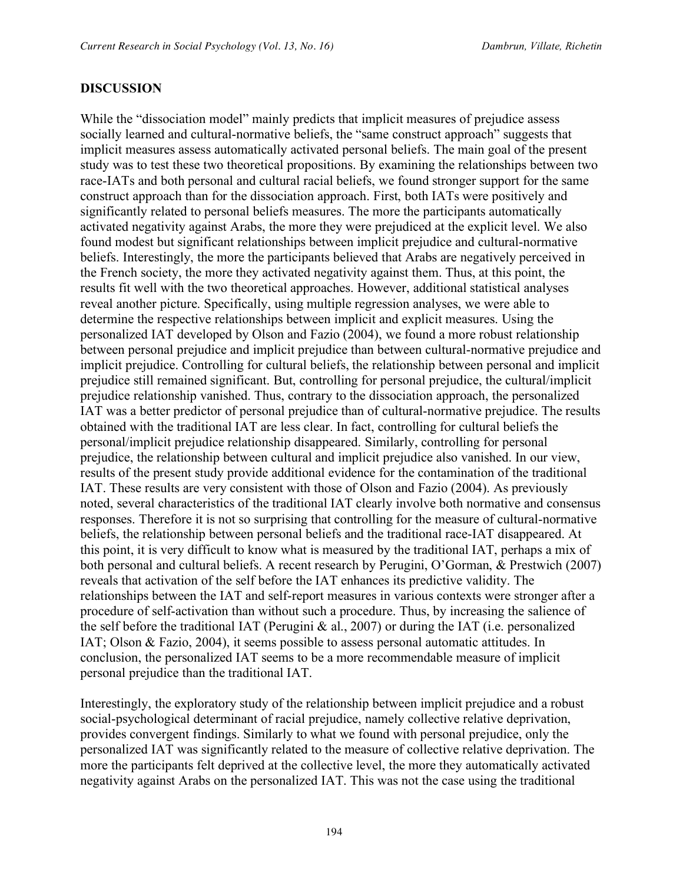#### **DISCUSSION**

While the "dissociation model" mainly predicts that implicit measures of prejudice assess socially learned and cultural-normative beliefs, the "same construct approach" suggests that implicit measures assess automatically activated personal beliefs. The main goal of the present study was to test these two theoretical propositions. By examining the relationships between two race-IATs and both personal and cultural racial beliefs, we found stronger support for the same construct approach than for the dissociation approach. First, both IATs were positively and significantly related to personal beliefs measures. The more the participants automatically activated negativity against Arabs, the more they were prejudiced at the explicit level. We also found modest but significant relationships between implicit prejudice and cultural-normative beliefs. Interestingly, the more the participants believed that Arabs are negatively perceived in the French society, the more they activated negativity against them. Thus, at this point, the results fit well with the two theoretical approaches. However, additional statistical analyses reveal another picture. Specifically, using multiple regression analyses, we were able to determine the respective relationships between implicit and explicit measures. Using the personalized IAT developed by Olson and Fazio (2004), we found a more robust relationship between personal prejudice and implicit prejudice than between cultural-normative prejudice and implicit prejudice. Controlling for cultural beliefs, the relationship between personal and implicit prejudice still remained significant. But, controlling for personal prejudice, the cultural/implicit prejudice relationship vanished. Thus, contrary to the dissociation approach, the personalized IAT was a better predictor of personal prejudice than of cultural-normative prejudice. The results obtained with the traditional IAT are less clear. In fact, controlling for cultural beliefs the personal/implicit prejudice relationship disappeared. Similarly, controlling for personal prejudice, the relationship between cultural and implicit prejudice also vanished. In our view, results of the present study provide additional evidence for the contamination of the traditional IAT. These results are very consistent with those of Olson and Fazio (2004). As previously noted, several characteristics of the traditional IAT clearly involve both normative and consensus responses. Therefore it is not so surprising that controlling for the measure of cultural-normative beliefs, the relationship between personal beliefs and the traditional race-IAT disappeared. At this point, it is very difficult to know what is measured by the traditional IAT, perhaps a mix of both personal and cultural beliefs. A recent research by Perugini, O'Gorman, & Prestwich (2007) reveals that activation of the self before the IAT enhances its predictive validity. The relationships between the IAT and self-report measures in various contexts were stronger after a procedure of self-activation than without such a procedure. Thus, by increasing the salience of the self before the traditional IAT (Perugini & al., 2007) or during the IAT (i.e. personalized IAT; Olson & Fazio, 2004), it seems possible to assess personal automatic attitudes. In conclusion, the personalized IAT seems to be a more recommendable measure of implicit personal prejudice than the traditional IAT.

Interestingly, the exploratory study of the relationship between implicit prejudice and a robust social-psychological determinant of racial prejudice, namely collective relative deprivation, provides convergent findings. Similarly to what we found with personal prejudice, only the personalized IAT was significantly related to the measure of collective relative deprivation. The more the participants felt deprived at the collective level, the more they automatically activated negativity against Arabs on the personalized IAT. This was not the case using the traditional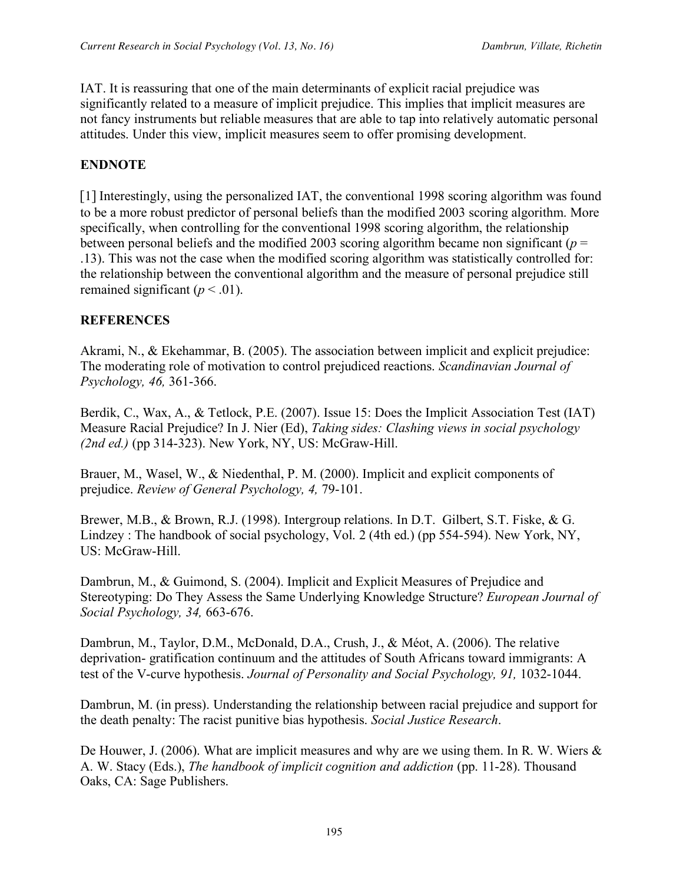IAT. It is reassuring that one of the main determinants of explicit racial prejudice was significantly related to a measure of implicit prejudice. This implies that implicit measures are not fancy instruments but reliable measures that are able to tap into relatively automatic personal attitudes. Under this view, implicit measures seem to offer promising development.

### **ENDNOTE**

[1] Interestingly, using the personalized IAT, the conventional 1998 scoring algorithm was found to be a more robust predictor of personal beliefs than the modified 2003 scoring algorithm. More specifically, when controlling for the conventional 1998 scoring algorithm, the relationship between personal beliefs and the modified 2003 scoring algorithm became non significant ( $p =$ .13). This was not the case when the modified scoring algorithm was statistically controlled for: the relationship between the conventional algorithm and the measure of personal prejudice still remained significant ( $p < .01$ ).

#### **REFERENCES**

Akrami, N., & Ekehammar, B. (2005). The association between implicit and explicit prejudice: The moderating role of motivation to control prejudiced reactions. *Scandinavian Journal of Psychology, 46,* 361-366.

Berdik, C., Wax, A., & Tetlock, P.E. (2007). Issue 15: Does the Implicit Association Test (IAT) Measure Racial Prejudice? In J. Nier (Ed), *Taking sides: Clashing views in social psychology (2nd ed.)* (pp 314-323). New York, NY, US: McGraw-Hill.

Brauer, M., Wasel, W., & Niedenthal, P. M. (2000). Implicit and explicit components of prejudice. *Review of General Psychology, 4,* 79-101.

Brewer, M.B., & Brown, R.J. (1998). Intergroup relations. In D.T. Gilbert, S.T. Fiske, & G. Lindzey : The handbook of social psychology, Vol. 2 (4th ed.) (pp 554-594). New York, NY, US: McGraw-Hill.

Dambrun, M., & Guimond, S. (2004). Implicit and Explicit Measures of Prejudice and Stereotyping: Do They Assess the Same Underlying Knowledge Structure? *European Journal of Social Psychology, 34,* 663-676.

Dambrun, M., Taylor, D.M., McDonald, D.A., Crush, J., & Méot, A. (2006). The relative deprivation- gratification continuum and the attitudes of South Africans toward immigrants: A test of the V-curve hypothesis. *Journal of Personality and Social Psychology, 91,* 1032-1044.

Dambrun, M. (in press). Understanding the relationship between racial prejudice and support for the death penalty: The racist punitive bias hypothesis. *Social Justice Research*.

De Houwer, J. (2006). What are implicit measures and why are we using them. In R. W. Wiers & A. W. Stacy (Eds.), *The handbook of implicit cognition and addiction* (pp. 11-28). Thousand Oaks, CA: Sage Publishers.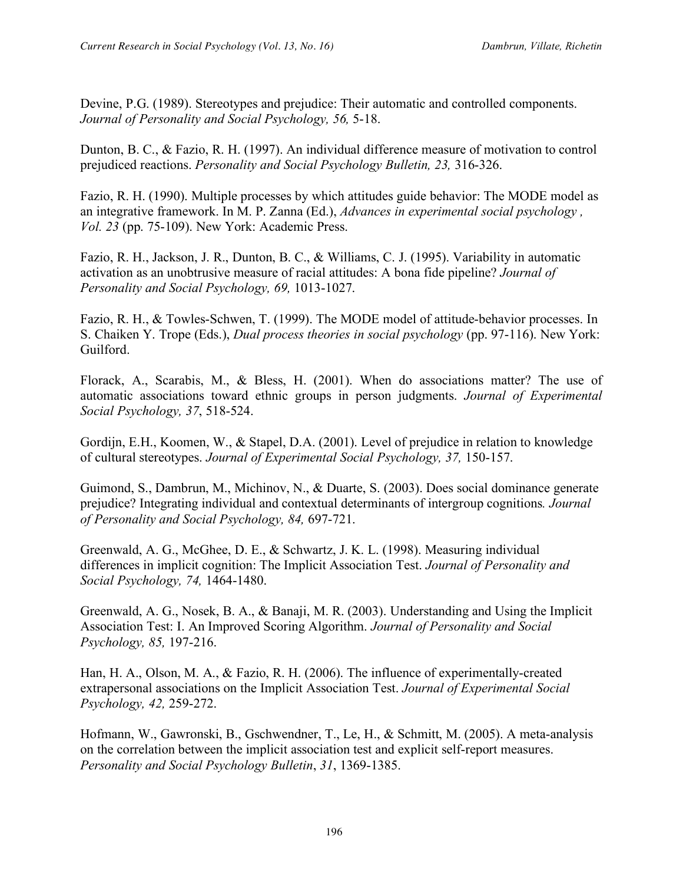Devine, P.G. (1989). Stereotypes and prejudice: Their automatic and controlled components. *Journal of Personality and Social Psychology, 56,* 5-18.

Dunton, B. C., & Fazio, R. H. (1997). An individual difference measure of motivation to control prejudiced reactions. *Personality and Social Psychology Bulletin, 23,* 316-326.

Fazio, R. H. (1990). Multiple processes by which attitudes guide behavior: The MODE model as an integrative framework. In M. P. Zanna (Ed.), *Advances in experimental social psychology , Vol. 23* (pp. 75-109). New York: Academic Press.

Fazio, R. H., Jackson, J. R., Dunton, B. C., & Williams, C. J. (1995). Variability in automatic activation as an unobtrusive measure of racial attitudes: A bona fide pipeline? *Journal of Personality and Social Psychology, 69,* 1013-1027.

Fazio, R. H., & Towles-Schwen, T. (1999). The MODE model of attitude-behavior processes. In S. Chaiken Y. Trope (Eds.), *Dual process theories in social psychology* (pp. 97-116). New York: Guilford.

Florack, A., Scarabis, M., & Bless, H. (2001). When do associations matter? The use of automatic associations toward ethnic groups in person judgments. *Journal of Experimental Social Psychology, 37*, 518-524.

Gordijn, E.H., Koomen, W., & Stapel, D.A. (2001). Level of prejudice in relation to knowledge of cultural stereotypes. *Journal of Experimental Social Psychology, 37,* 150-157.

Guimond, S., Dambrun, M., Michinov, N., & Duarte, S. (2003). Does social dominance generate prejudice? Integrating individual and contextual determinants of intergroup cognitions*. Journal of Personality and Social Psychology, 84,* 697-721.

Greenwald, A. G., McGhee, D. E., & Schwartz, J. K. L. (1998). Measuring individual differences in implicit cognition: The Implicit Association Test. *Journal of Personality and Social Psychology, 74,* 1464-1480.

Greenwald, A. G., Nosek, B. A., & Banaji, M. R. (2003). Understanding and Using the Implicit Association Test: I. An Improved Scoring Algorithm. *Journal of Personality and Social Psychology, 85,* 197-216.

Han, H. A., Olson, M. A., & Fazio, R. H. (2006). The influence of experimentally-created extrapersonal associations on the Implicit Association Test. *Journal of Experimental Social Psychology, 42,* 259-272.

Hofmann, W., Gawronski, B., Gschwendner, T., Le, H., & Schmitt, M. (2005). A meta-analysis on the correlation between the implicit association test and explicit self-report measures. *Personality and Social Psychology Bulletin*, *31*, 1369-1385.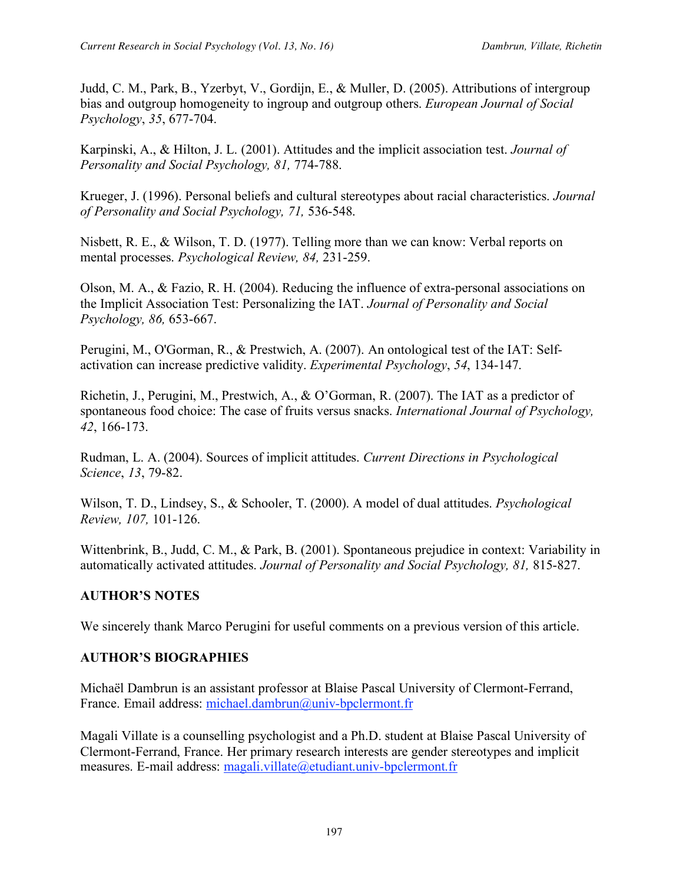Judd, C. M., Park, B., Yzerbyt, V., Gordijn, E., & Muller, D. (2005). Attributions of intergroup bias and outgroup homogeneity to ingroup and outgroup others. *European Journal of Social Psychology*, *35*, 677-704.

Karpinski, A., & Hilton, J. L. (2001). Attitudes and the implicit association test. *Journal of Personality and Social Psychology, 81,* 774-788.

Krueger, J. (1996). Personal beliefs and cultural stereotypes about racial characteristics. *Journal of Personality and Social Psychology, 71,* 536-548.

Nisbett, R. E., & Wilson, T. D. (1977). Telling more than we can know: Verbal reports on mental processes. *Psychological Review, 84,* 231-259.

Olson, M. A., & Fazio, R. H. (2004). Reducing the influence of extra-personal associations on the Implicit Association Test: Personalizing the IAT. *Journal of Personality and Social Psychology, 86,* 653-667.

Perugini, M., O'Gorman, R., & Prestwich, A. (2007). An ontological test of the IAT: Selfactivation can increase predictive validity. *Experimental Psychology*, *54*, 134-147.

Richetin, J., Perugini, M., Prestwich, A., & O'Gorman, R. (2007). The IAT as a predictor of spontaneous food choice: The case of fruits versus snacks. *International Journal of Psychology, 42*, 166-173.

Rudman, L. A. (2004). Sources of implicit attitudes. *Current Directions in Psychological Science*, *13*, 79-82.

Wilson, T. D., Lindsey, S., & Schooler, T. (2000). A model of dual attitudes. *Psychological Review, 107,* 101-126.

Wittenbrink, B., Judd, C. M., & Park, B. (2001). Spontaneous prejudice in context: Variability in automatically activated attitudes. *Journal of Personality and Social Psychology, 81,* 815-827.

## **AUTHOR'S NOTES**

We sincerely thank Marco Perugini for useful comments on a previous version of this article.

# **AUTHOR'S BIOGRAPHIES**

Michaël Dambrun is an assistant professor at Blaise Pascal University of Clermont-Ferrand, France. Email address: michael.dambrun@univ-bpclermont.fr

Magali Villate is a counselling psychologist and a Ph.D. student at Blaise Pascal University of Clermont-Ferrand, France. Her primary research interests are gender stereotypes and implicit measures. E-mail address: magali.villate@etudiant.univ-bpclermont.fr